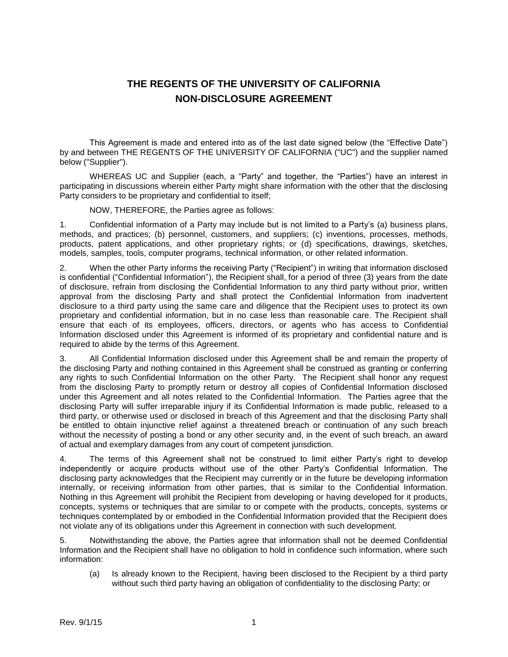## **THE REGENTS OF THE UNIVERSITY OF CALIFORNIA NON-DISCLOSURE AGREEMENT**

This Agreement is made and entered into as of the last date signed below (the "Effective Date") by and between THE REGENTS OF THE UNIVERSITY OF CALIFORNIA ("UC") and the supplier named below ("Supplier").

WHEREAS UC and Supplier (each, a "Party" and together, the "Parties") have an interest in participating in discussions wherein either Party might share information with the other that the disclosing Party considers to be proprietary and confidential to itself;

NOW, THEREFORE, the Parties agree as follows:

1. Confidential information of a Party may include but is not limited to a Party's (a) business plans, methods, and practices; (b) personnel, customers, and suppliers; (c) inventions, processes, methods, products, patent applications, and other proprietary rights; or (d) specifications, drawings, sketches, models, samples, tools, computer programs, technical information, or other related information.

2. When the other Party informs the receiving Party ("Recipient") in writing that information disclosed is confidential ("Confidential Information"), the Recipient shall, for a period of three (3) years from the date of disclosure, refrain from disclosing the Confidential Information to any third party without prior, written approval from the disclosing Party and shall protect the Confidential Information from inadvertent disclosure to a third party using the same care and diligence that the Recipient uses to protect its own proprietary and confidential information, but in no case less than reasonable care. The Recipient shall ensure that each of its employees, officers, directors, or agents who has access to Confidential Information disclosed under this Agreement is informed of its proprietary and confidential nature and is required to abide by the terms of this Agreement.

3. All Confidential Information disclosed under this Agreement shall be and remain the property of the disclosing Party and nothing contained in this Agreement shall be construed as granting or conferring any rights to such Confidential Information on the other Party. The Recipient shall honor any request from the disclosing Party to promptly return or destroy all copies of Confidential Information disclosed under this Agreement and all notes related to the Confidential Information. The Parties agree that the disclosing Party will suffer irreparable injury if its Confidential Information is made public, released to a third party, or otherwise used or disclosed in breach of this Agreement and that the disclosing Party shall be entitled to obtain injunctive relief against a threatened breach or continuation of any such breach without the necessity of posting a bond or any other security and, in the event of such breach, an award of actual and exemplary damages from any court of competent jurisdiction.

4. The terms of this Agreement shall not be construed to limit either Party's right to develop independently or acquire products without use of the other Party's Confidential Information. The disclosing party acknowledges that the Recipient may currently or in the future be developing information internally, or receiving information from other parties, that is similar to the Confidential Information. Nothing in this Agreement will prohibit the Recipient from developing or having developed for it products, concepts, systems or techniques that are similar to or compete with the products, concepts, systems or techniques contemplated by or embodied in the Confidential Information provided that the Recipient does not violate any of its obligations under this Agreement in connection with such development.

5. Notwithstanding the above, the Parties agree that information shall not be deemed Confidential Information and the Recipient shall have no obligation to hold in confidence such information, where such information:

(a) Is already known to the Recipient, having been disclosed to the Recipient by a third party without such third party having an obligation of confidentiality to the disclosing Party; or